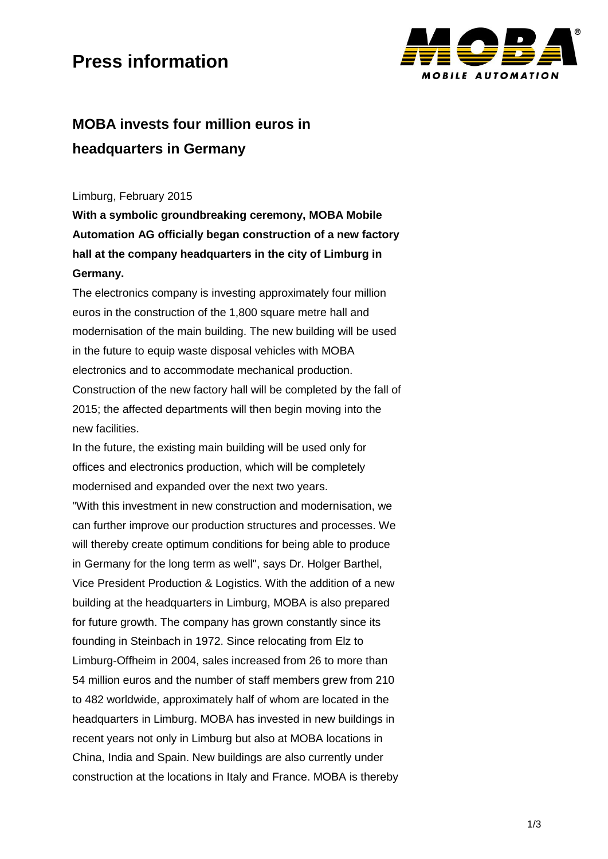### **Press information**



### **MOBA invests four million euros in headquarters in Germany**

Limburg, February 2015

**With a symbolic groundbreaking ceremony, MOBA Mobile Automation AG officially began construction of a new factory hall at the company headquarters in the city of Limburg in Germany.**

The electronics company is investing approximately four million euros in the construction of the 1,800 square metre hall and modernisation of the main building. The new building will be used in the future to equip waste disposal vehicles with MOBA electronics and to accommodate mechanical production. Construction of the new factory hall will be completed by the fall of 2015; the affected departments will then begin moving into the new facilities.

In the future, the existing main building will be used only for offices and electronics production, which will be completely modernised and expanded over the next two years.

"With this investment in new construction and modernisation, we can further improve our production structures and processes. We will thereby create optimum conditions for being able to produce in Germany for the long term as well", says Dr. Holger Barthel, Vice President Production & Logistics. With the addition of a new building at the headquarters in Limburg, MOBA is also prepared for future growth. The company has grown constantly since its founding in Steinbach in 1972. Since relocating from Elz to Limburg-Offheim in 2004, sales increased from 26 to more than 54 million euros and the number of staff members grew from 210 to 482 worldwide, approximately half of whom are located in the headquarters in Limburg. MOBA has invested in new buildings in recent years not only in Limburg but also at MOBA locations in China, India and Spain. New buildings are also currently under construction at the locations in Italy and France. MOBA is thereby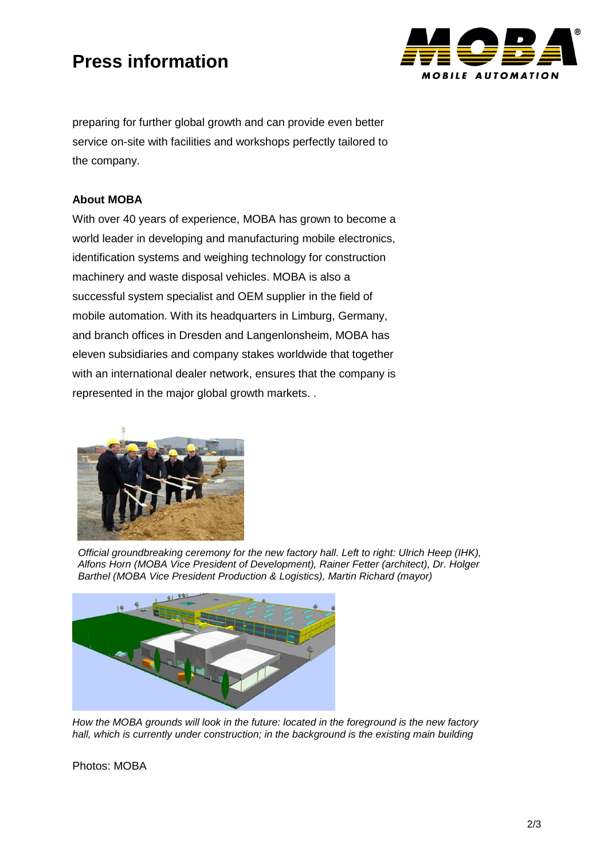# **Press information**



preparing for further global growth and can provide even better service on-site with facilities and workshops perfectly tailored to the company.

#### **About MOBA**

With over 40 years of experience, MOBA has grown to become a world leader in developing and manufacturing mobile electronics, identification systems and weighing technology for construction machinery and waste disposal vehicles. MOBA is also a successful system specialist and OEM supplier in the field of mobile automation. With its headquarters in Limburg, Germany, and branch offices in Dresden and Langenlonsheim, MOBA has eleven subsidiaries and company stakes worldwide that together with an international dealer network, ensures that the company is represented in the major global growth markets. .



*Official groundbreaking ceremony for the new factory hall. Left to right: Ulrich Heep (IHK), Alfons Horn (MOBA Vice President of Development), Rainer Fetter (architect), Dr. Holger Barthel (MOBA Vice President Production & Logistics), Martin Richard (mayor)*



*How the MOBA grounds will look in the future: located in the foreground is the new factory hall, which is currently under construction; in the background is the existing main building*

Photos: MOBA